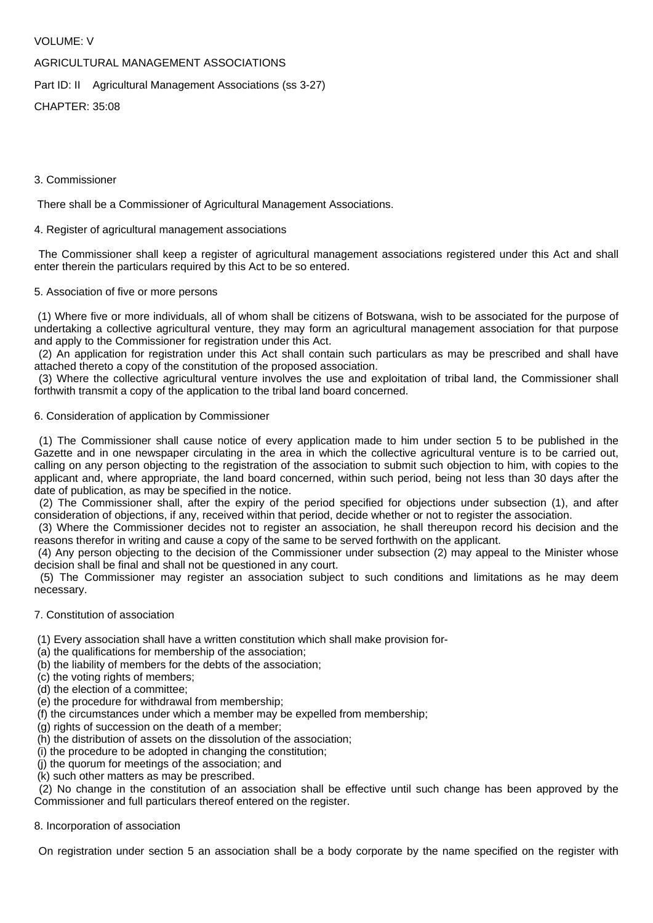## VOLUME: V

# AGRICULTURAL MANAGEMENT ASSOCIATIONS

Part ID: II Agricultural Management Associations (ss 3-27)

CHAPTER: 35:08

## 3. Commissioner

There shall be a Commissioner of Agricultural Management Associations.

## 4. Register of agricultural management associations

 The Commissioner shall keep a register of agricultural management associations registered under this Act and shall enter therein the particulars required by this Act to be so entered.

## 5. Association of five or more persons

 (1) Where five or more individuals, all of whom shall be citizens of Botswana, wish to be associated for the purpose of undertaking a collective agricultural venture, they may form an agricultural management association for that purpose and apply to the Commissioner for registration under this Act.

 (2) An application for registration under this Act shall contain such particulars as may be prescribed and shall have attached thereto a copy of the constitution of the proposed association.

 (3) Where the collective agricultural venture involves the use and exploitation of tribal land, the Commissioner shall forthwith transmit a copy of the application to the tribal land board concerned.

## 6. Consideration of application by Commissioner

 (1) The Commissioner shall cause notice of every application made to him under section 5 to be published in the Gazette and in one newspaper circulating in the area in which the collective agricultural venture is to be carried out, calling on any person objecting to the registration of the association to submit such objection to him, with copies to the applicant and, where appropriate, the land board concerned, within such period, being not less than 30 days after the date of publication, as may be specified in the notice.

 (2) The Commissioner shall, after the expiry of the period specified for objections under subsection (1), and after consideration of objections, if any, received within that period, decide whether or not to register the association.

 (3) Where the Commissioner decides not to register an association, he shall thereupon record his decision and the reasons therefor in writing and cause a copy of the same to be served forthwith on the applicant.

 (4) Any person objecting to the decision of the Commissioner under subsection (2) may appeal to the Minister whose decision shall be final and shall not be questioned in any court.

 (5) The Commissioner may register an association subject to such conditions and limitations as he may deem necessary.

#### 7. Constitution of association

- (1) Every association shall have a written constitution which shall make provision for-
- (a) the qualifications for membership of the association;
- (b) the liability of members for the debts of the association;
- (c) the voting rights of members;
- (d) the election of a committee;
- (e) the procedure for withdrawal from membership;
- (f) the circumstances under which a member may be expelled from membership;
- (g) rights of succession on the death of a member;
- (h) the distribution of assets on the dissolution of the association;
- (i) the procedure to be adopted in changing the constitution;
- (j) the quorum for meetings of the association; and
- (k) such other matters as may be prescribed.

 (2) No change in the constitution of an association shall be effective until such change has been approved by the Commissioner and full particulars thereof entered on the register.

#### 8. Incorporation of association

On registration under section 5 an association shall be a body corporate by the name specified on the register with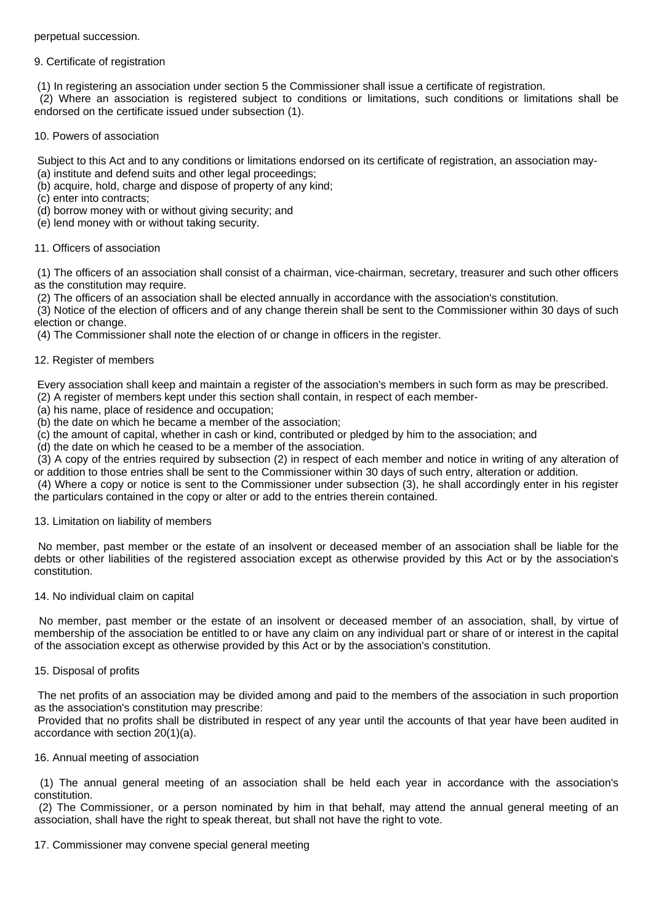perpetual succession.

## 9. Certificate of registration

(1) In registering an association under section 5 the Commissioner shall issue a certificate of registration.

 (2) Where an association is registered subject to conditions or limitations, such conditions or limitations shall be endorsed on the certificate issued under subsection (1).

10. Powers of association

Subject to this Act and to any conditions or limitations endorsed on its certificate of registration, an association may-

- (a) institute and defend suits and other legal proceedings;
- (b) acquire, hold, charge and dispose of property of any kind;

(c) enter into contracts;

- (d) borrow money with or without giving security; and
- (e) lend money with or without taking security.

## 11. Officers of association

 (1) The officers of an association shall consist of a chairman, vice-chairman, secretary, treasurer and such other officers as the constitution may require.

(2) The officers of an association shall be elected annually in accordance with the association's constitution.

 (3) Notice of the election of officers and of any change therein shall be sent to the Commissioner within 30 days of such election or change.

(4) The Commissioner shall note the election of or change in officers in the register.

## 12. Register of members

 Every association shall keep and maintain a register of the association's members in such form as may be prescribed. (2) A register of members kept under this section shall contain, in respect of each member-

(a) his name, place of residence and occupation;

(b) the date on which he became a member of the association;

(c) the amount of capital, whether in cash or kind, contributed or pledged by him to the association; and

(d) the date on which he ceased to be a member of the association.

 (3) A copy of the entries required by subsection (2) in respect of each member and notice in writing of any alteration of or addition to those entries shall be sent to the Commissioner within 30 days of such entry, alteration or addition.

 (4) Where a copy or notice is sent to the Commissioner under subsection (3), he shall accordingly enter in his register the particulars contained in the copy or alter or add to the entries therein contained.

#### 13. Limitation on liability of members

 No member, past member or the estate of an insolvent or deceased member of an association shall be liable for the debts or other liabilities of the registered association except as otherwise provided by this Act or by the association's constitution.

#### 14. No individual claim on capital

 No member, past member or the estate of an insolvent or deceased member of an association, shall, by virtue of membership of the association be entitled to or have any claim on any individual part or share of or interest in the capital of the association except as otherwise provided by this Act or by the association's constitution.

#### 15. Disposal of profits

 The net profits of an association may be divided among and paid to the members of the association in such proportion as the association's constitution may prescribe:

 Provided that no profits shall be distributed in respect of any year until the accounts of that year have been audited in accordance with section 20(1)(a).

# 16. Annual meeting of association

 (1) The annual general meeting of an association shall be held each year in accordance with the association's constitution.

 (2) The Commissioner, or a person nominated by him in that behalf, may attend the annual general meeting of an association, shall have the right to speak thereat, but shall not have the right to vote.

#### 17. Commissioner may convene special general meeting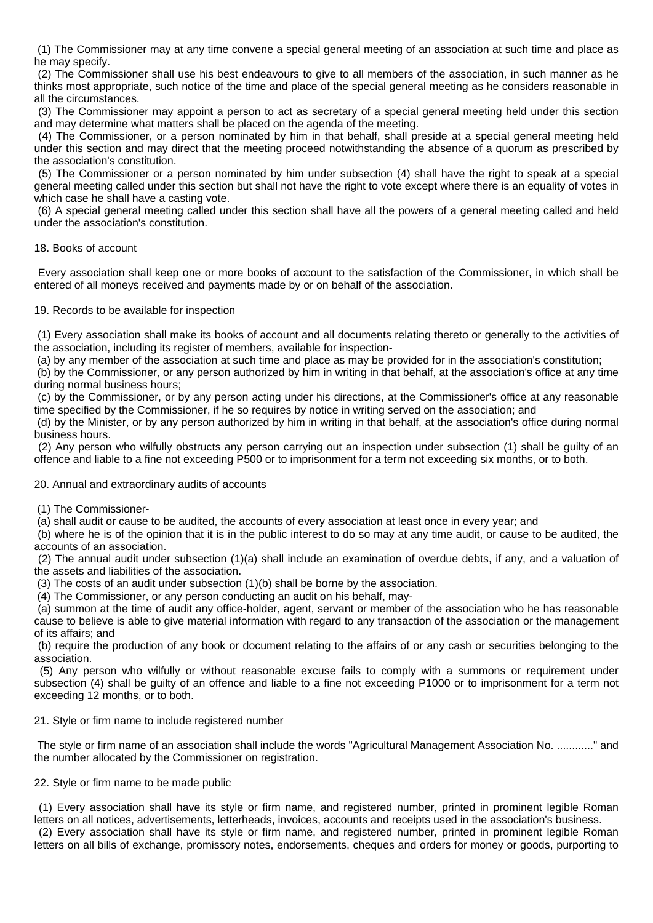(1) The Commissioner may at any time convene a special general meeting of an association at such time and place as he may specify.

 (2) The Commissioner shall use his best endeavours to give to all members of the association, in such manner as he thinks most appropriate, such notice of the time and place of the special general meeting as he considers reasonable in all the circumstances.

 (3) The Commissioner may appoint a person to act as secretary of a special general meeting held under this section and may determine what matters shall be placed on the agenda of the meeting.

 (4) The Commissioner, or a person nominated by him in that behalf, shall preside at a special general meeting held under this section and may direct that the meeting proceed notwithstanding the absence of a quorum as prescribed by the association's constitution.

 (5) The Commissioner or a person nominated by him under subsection (4) shall have the right to speak at a special general meeting called under this section but shall not have the right to vote except where there is an equality of votes in which case he shall have a casting vote.

 (6) A special general meeting called under this section shall have all the powers of a general meeting called and held under the association's constitution.

#### 18. Books of account

 Every association shall keep one or more books of account to the satisfaction of the Commissioner, in which shall be entered of all moneys received and payments made by or on behalf of the association.

19. Records to be available for inspection

 (1) Every association shall make its books of account and all documents relating thereto or generally to the activities of the association, including its register of members, available for inspection-

(a) by any member of the association at such time and place as may be provided for in the association's constitution;

 (b) by the Commissioner, or any person authorized by him in writing in that behalf, at the association's office at any time during normal business hours;

 (c) by the Commissioner, or by any person acting under his directions, at the Commissioner's office at any reasonable time specified by the Commissioner, if he so requires by notice in writing served on the association; and

 (d) by the Minister, or by any person authorized by him in writing in that behalf, at the association's office during normal business hours.

 (2) Any person who wilfully obstructs any person carrying out an inspection under subsection (1) shall be guilty of an offence and liable to a fine not exceeding P500 or to imprisonment for a term not exceeding six months, or to both.

20. Annual and extraordinary audits of accounts

(1) The Commissioner-

(a) shall audit or cause to be audited, the accounts of every association at least once in every year; and

 (b) where he is of the opinion that it is in the public interest to do so may at any time audit, or cause to be audited, the accounts of an association.

 (2) The annual audit under subsection (1)(a) shall include an examination of overdue debts, if any, and a valuation of the assets and liabilities of the association.

(3) The costs of an audit under subsection (1)(b) shall be borne by the association.

(4) The Commissioner, or any person conducting an audit on his behalf, may-

 (a) summon at the time of audit any office-holder, agent, servant or member of the association who he has reasonable cause to believe is able to give material information with regard to any transaction of the association or the management of its affairs; and

 (b) require the production of any book or document relating to the affairs of or any cash or securities belonging to the association.

 (5) Any person who wilfully or without reasonable excuse fails to comply with a summons or requirement under subsection (4) shall be guilty of an offence and liable to a fine not exceeding P1000 or to imprisonment for a term not exceeding 12 months, or to both.

# 21. Style or firm name to include registered number

 The style or firm name of an association shall include the words "Agricultural Management Association No. ............" and the number allocated by the Commissioner on registration.

# 22. Style or firm name to be made public

 (1) Every association shall have its style or firm name, and registered number, printed in prominent legible Roman letters on all notices, advertisements, letterheads, invoices, accounts and receipts used in the association's business. (2) Every association shall have its style or firm name, and registered number, printed in prominent legible Roman letters on all bills of exchange, promissory notes, endorsements, cheques and orders for money or goods, purporting to